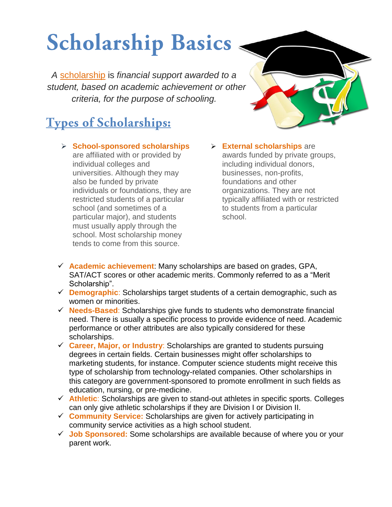# **Scholarship Basics**

*A* scholarship is *financial support awarded to a student, based on academic achievement or other criteria, for the purpose of schooling.*

## **Types of Scholarships:**

 **School-sponsored scholarships** are affiliated with or provided by individual colleges and universities. Although they may also be funded by private individuals or foundations, they are restricted students of a particular school (and sometimes of a particular major), and students must usually apply through the school. Most scholarship money tends to come from this source.

- 
- **External scholarships** are awards funded by private groups, including individual donors, businesses, non-profits, foundations and other organizations. They are not typically affiliated with or restricted to students from a particular school.
- **Academic achievement**: Many scholarships are based on grades, GPA, SAT/ACT scores or other academic merits. Commonly referred to as a "Merit Scholarship".
- **Demographic**: Scholarships target students of a certain demographic, such as women or minorities.
- **Needs-Based**: Scholarships give funds to students who demonstrate financial need. There is usually a specific process to provide evidence of need. Academic performance or other attributes are also typically considered for these scholarships.
- **Career, Major, or Industry**: Scholarships are granted to students pursuing degrees in certain fields. Certain businesses might offer scholarships to marketing students, for instance. Computer science students might receive this type of scholarship from technology-related companies. Other scholarships in this category are government-sponsored to promote enrollment in such fields as education, nursing, or pre-medicine.
- **Athletic**: Scholarships are given to stand-out athletes in specific sports. Colleges can only give athletic scholarships if they are Division I or Division II.
- **Community Service:** Scholarships are given for actively participating in community service activities as a high school student.
- **Job Sponsored:** Some scholarships are available because of where you or your parent work.